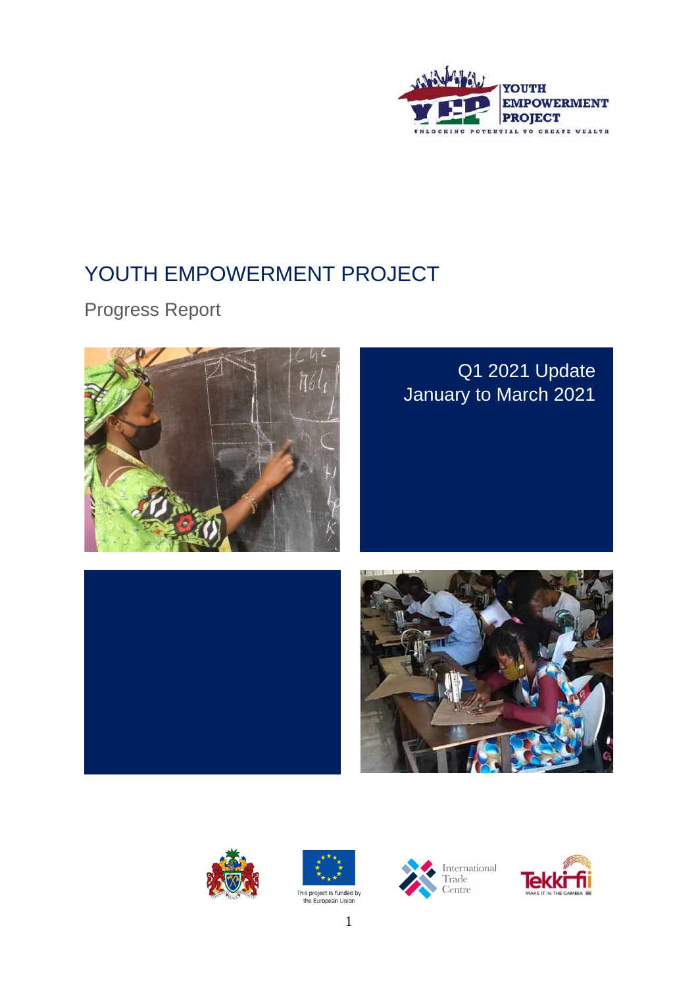

# YOUTH EMPOWERMENT PROJECT

Progress Report



## Q1 2021 Update January to March 2021











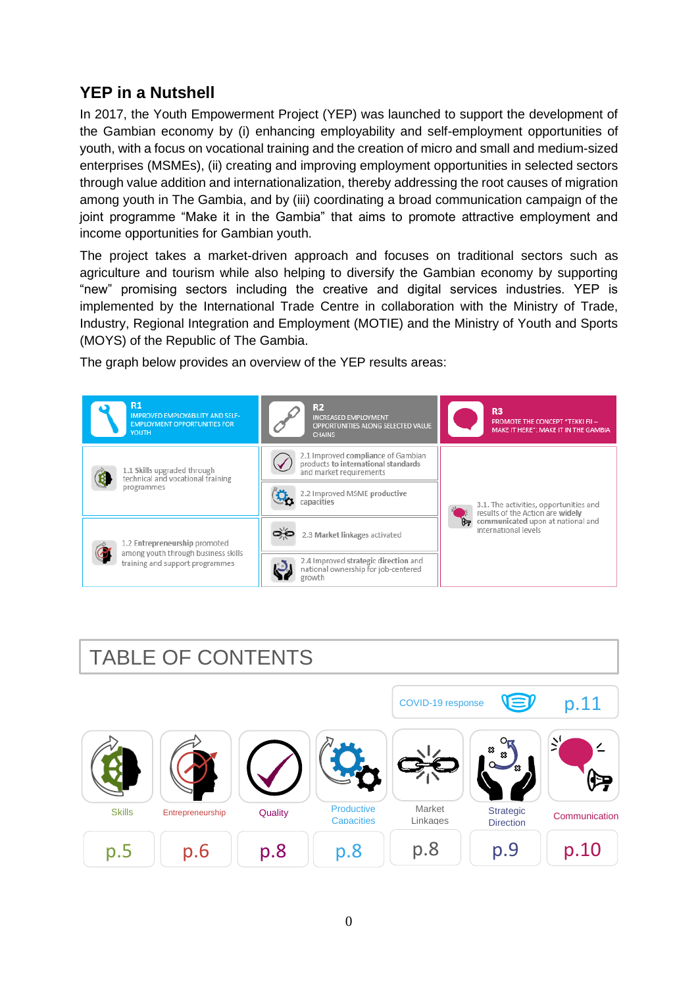### **YEP in a Nutshell**

In 2017, the Youth Empowerment Project (YEP) was launched to support the development of the Gambian economy by (i) enhancing employability and self-employment opportunities of youth, with a focus on vocational training and the creation of micro and small and medium-sized enterprises (MSMEs), (ii) creating and improving employment opportunities in selected sectors through value addition and internationalization, thereby addressing the root causes of migration among youth in The Gambia, and by (iii) coordinating a broad communication campaign of the joint programme "Make it in the Gambia" that aims to promote attractive employment and income opportunities for Gambian youth.

The project takes a market-driven approach and focuses on traditional sectors such as agriculture and tourism while also helping to diversify the Gambian economy by supporting "new" promising sectors including the creative and digital services industries. YEP is implemented by the International Trade Centre in collaboration with the Ministry of Trade, Industry, Regional Integration and Employment (MOTIE) and the Ministry of Youth and Sports (MOYS) of the Republic of The Gambia.

The graph below provides an overview of the YEP results areas:



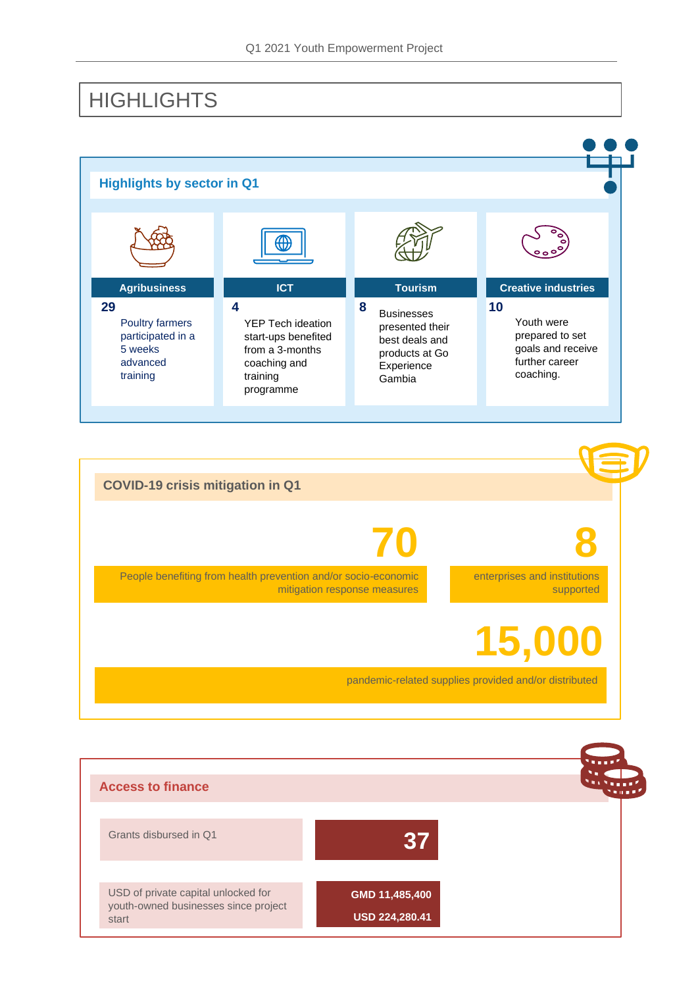## **HIGHLIGHTS**





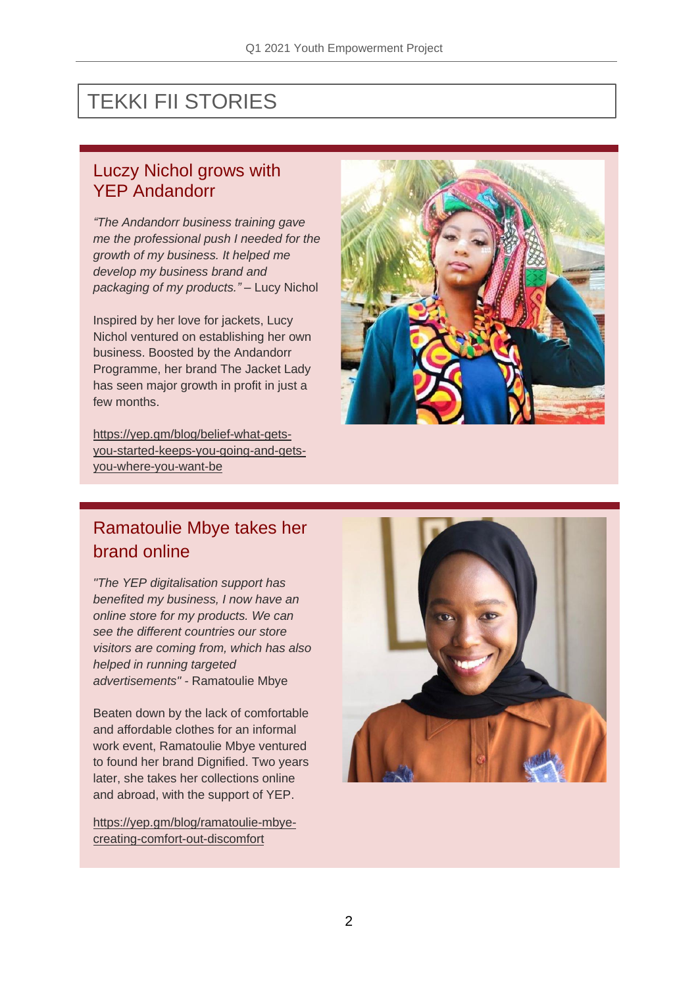# TEKKI FII STORIES

### Luczy Nichol grows with YEP Andandorr

*"The Andandorr business training gave me the professional push I needed for the growth of my business. It helped me develop my business brand and packaging of my products."* – Lucy Nichol

Inspired by her love for jackets, Lucy Nichol ventured on establishing her own business. Boosted by the Andandorr Programme, her brand The Jacket Lady has seen major growth in profit in just a few months.

[https://yep.gm/blog/belief-what-gets](https://yep.gm/blog/belief-what-gets-you-started-keeps-you-going-and-gets-you-where-you-want-be)[you-started-keeps-you-going-and-gets](https://yep.gm/blog/belief-what-gets-you-started-keeps-you-going-and-gets-you-where-you-want-be)[you-where-you-want-be](https://yep.gm/blog/belief-what-gets-you-started-keeps-you-going-and-gets-you-where-you-want-be)



### Ramatoulie Mbye takes her brand online

*"The YEP digitalisation support has benefited my business, I now have an online store for my products. We can see the different countries our store visitors are coming from, which has also helped in running targeted advertisements" -* Ramatoulie Mbye

Beaten down by the lack of comfortable and affordable clothes for an informal work event, Ramatoulie Mbye ventured to found her brand Dignified. Two years later, she takes her collections online and abroad, with the support of YEP.

[https://yep.gm/blog/ramatoulie-mbye](https://yep.gm/blog/ramatoulie-mbye-creating-comfort-out-discomfort)[creating-comfort-out-discomfort](https://yep.gm/blog/ramatoulie-mbye-creating-comfort-out-discomfort)

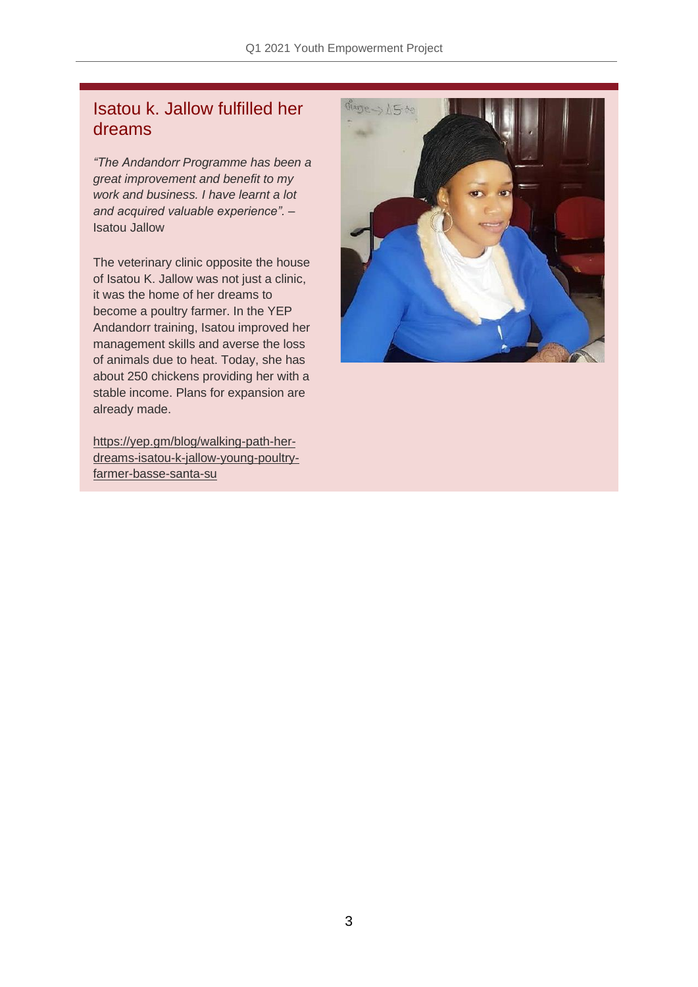### Isatou k. Jallow fulfilled her dreams

*"The Andandorr Programme has been a great improvement and benefit to my work and business. I have learnt a lot and acquired valuable experience".* – Isatou Jallow

The veterinary clinic opposite the house of Isatou K. Jallow was not just a clinic, it was the home of her dreams to become a poultry farmer. In the YEP Andandorr training, Isatou improved her management skills and averse the loss of animals due to heat. Today, she has about 250 chickens providing her with a stable income. Plans for expansion are already made.

[https://yep.gm/blog/walking-path-her](https://yep.gm/blog/walking-path-her-dreams-isatou-k-jallow-young-poultry-farmer-basse-santa-su)[dreams-isatou-k-jallow-young-poultry](https://yep.gm/blog/walking-path-her-dreams-isatou-k-jallow-young-poultry-farmer-basse-santa-su)[farmer-basse-santa-su](https://yep.gm/blog/walking-path-her-dreams-isatou-k-jallow-young-poultry-farmer-basse-santa-su)

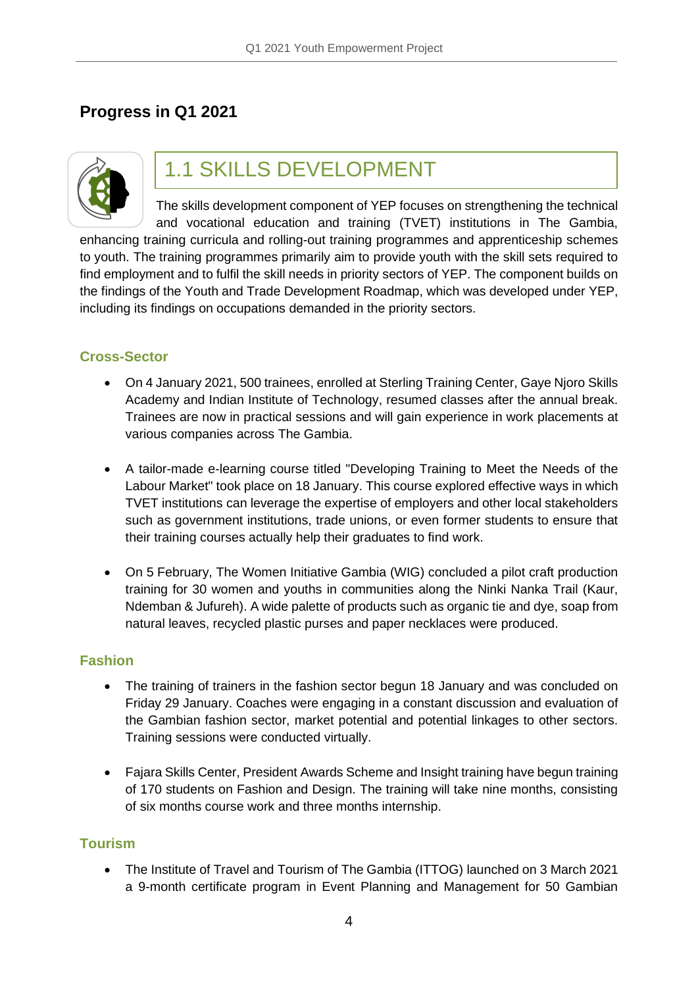### **Progress in Q1 2021**



# 1.1 SKILLS DEVELOPMENT

The skills development component of YEP focuses on strengthening the technical and vocational education and training (TVET) institutions in The Gambia, enhancing training curricula and rolling-out training programmes and apprenticeship schemes to youth. The training programmes primarily aim to provide youth with the skill sets required to find employment and to fulfil the skill needs in priority sectors of YEP. The component builds on the findings of the Youth and Trade Development Roadmap, which was developed under YEP, including its findings on occupations demanded in the priority sectors.

#### **Cross-Sector**

- On 4 January 2021, 500 trainees, enrolled at Sterling Training Center, Gaye Njoro Skills Academy and Indian Institute of Technology, resumed classes after the annual break. Trainees are now in practical sessions and will gain experience in work placements at various companies across The Gambia.
- A tailor-made e-learning course titled "Developing Training to Meet the Needs of the Labour Market" took place on 18 January. This course explored effective ways in which TVET institutions can leverage the expertise of employers and other local stakeholders such as government institutions, trade unions, or even former students to ensure that their training courses actually help their graduates to find work.
- On 5 February, The Women Initiative Gambia (WIG) concluded a pilot craft production training for 30 women and youths in communities along the Ninki Nanka Trail (Kaur, Ndemban & Jufureh). A wide palette of products such as organic tie and dye, soap from natural leaves, recycled plastic purses and paper necklaces were produced.

#### **Fashion**

- The training of trainers in the fashion sector begun 18 January and was concluded on Friday 29 January. Coaches were engaging in a constant discussion and evaluation of the Gambian fashion sector, market potential and potential linkages to other sectors. Training sessions were conducted virtually.
- Fajara Skills Center, President Awards Scheme and Insight training have begun training of 170 students on Fashion and Design. The training will take nine months, consisting of six months course work and three months internship.

#### **Tourism**

• The Institute of Travel and Tourism of The Gambia (ITTOG) launched on 3 March 2021 a 9-month certificate program in Event Planning and Management for 50 Gambian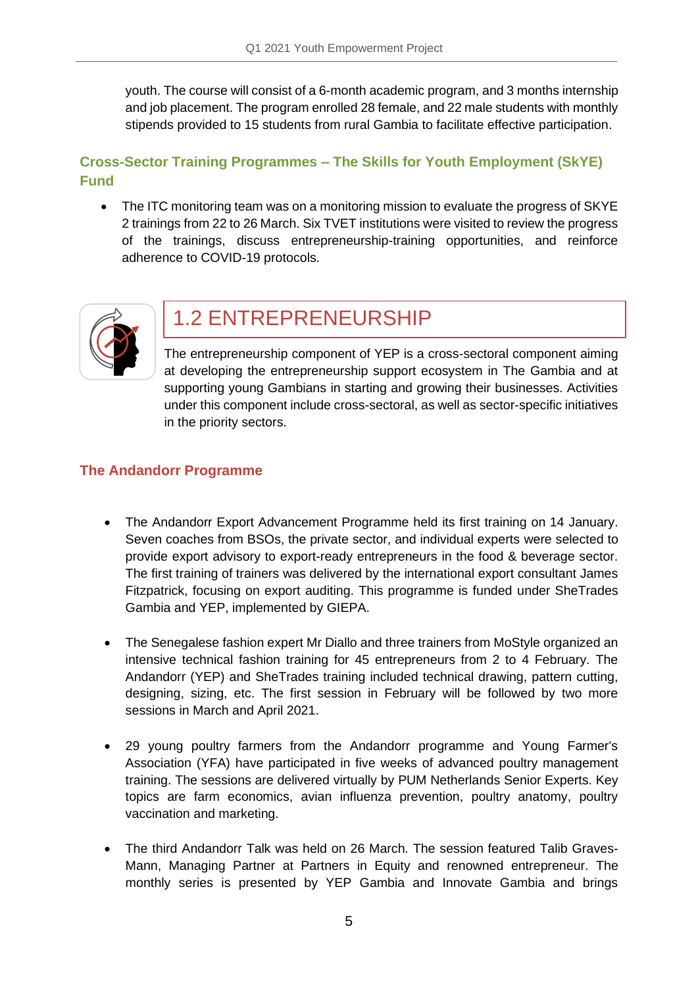youth. The course will consist of a 6-month academic program, and 3 months internship and job placement. The program enrolled 28 female, and 22 male students with monthly stipends provided to 15 students from rural Gambia to facilitate effective participation.

### **Cross-Sector Training Programmes – The Skills for Youth Employment (SkYE) Fund**

• The ITC monitoring team was on a monitoring mission to evaluate the progress of SKYE 2 trainings from 22 to 26 March. Six TVET institutions were visited to review the progress of the trainings, discuss entrepreneurship-training opportunities, and reinforce adherence to COVID-19 protocols.



## 1.2 ENTREPRENEURSHIP

The entrepreneurship component of YEP is a cross-sectoral component aiming at developing the entrepreneurship support ecosystem in The Gambia and at supporting young Gambians in starting and growing their businesses. Activities under this component include cross-sectoral, as well as sector-specific initiatives in the priority sectors.

### **The Andandorr Programme**

- The Andandorr Export Advancement Programme held its first training on 14 January. Seven coaches from BSOs, the private sector, and individual experts were selected to provide export advisory to export-ready entrepreneurs in the food & beverage sector. The first training of trainers was delivered by the international export consultant James Fitzpatrick, focusing on export auditing. This programme is funded under SheTrades Gambia and YEP, implemented by GIEPA.
- The Senegalese fashion expert Mr Diallo and three trainers from MoStyle organized an intensive technical fashion training for 45 entrepreneurs from 2 to 4 February. The Andandorr (YEP) and SheTrades training included technical drawing, pattern cutting, designing, sizing, etc. The first session in February will be followed by two more sessions in March and April 2021.
- 29 young poultry farmers from the Andandorr programme and Young Farmer's Association (YFA) have participated in five weeks of advanced poultry management training. The sessions are delivered virtually by PUM Netherlands Senior Experts. Key topics are farm economics, avian influenza prevention, poultry anatomy, poultry vaccination and marketing.
- The third Andandorr Talk was held on 26 March. The session featured Talib Graves-Mann, Managing Partner at Partners in Equity and renowned entrepreneur. The monthly series is presented by YEP Gambia and Innovate Gambia and brings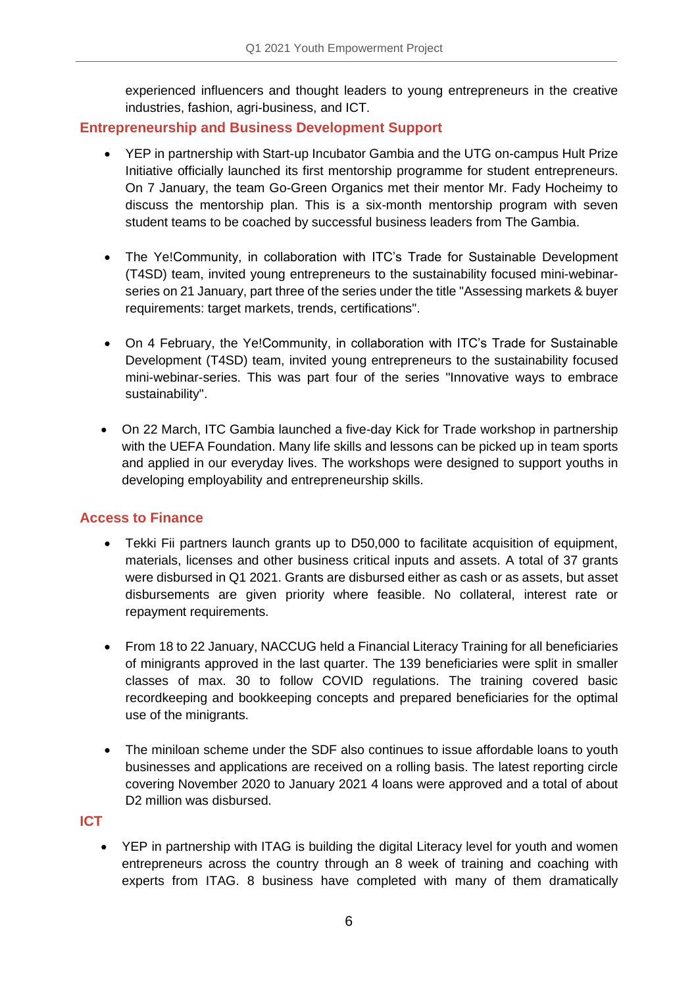experienced influencers and thought leaders to young entrepreneurs in the creative industries, fashion, agri-business, and ICT.

### **Entrepreneurship and Business Development Support**

- YEP in partnership with Start-up Incubator Gambia and the UTG on-campus Hult Prize Initiative officially launched its first mentorship programme for student entrepreneurs. On 7 January, the team Go-Green Organics met their mentor Mr. Fady Hocheimy to discuss the mentorship plan. This is a six-month mentorship program with seven student teams to be coached by successful business leaders from The Gambia.
- The Ye!Community, in collaboration with ITC's Trade for Sustainable Development (T4SD) team, invited young entrepreneurs to the sustainability focused mini-webinarseries on 21 January, part three of the series under the title "Assessing markets & buyer requirements: target markets, trends, certifications".
- On 4 February, the Ye!Community, in collaboration with ITC's Trade for Sustainable Development (T4SD) team, invited young entrepreneurs to the sustainability focused mini-webinar-series. This was part four of the series "Innovative ways to embrace sustainability".
- On 22 March, ITC Gambia launched a five-day Kick for Trade workshop in partnership with the UEFA Foundation. Many life skills and lessons can be picked up in team sports and applied in our everyday lives. The workshops were designed to support youths in developing employability and entrepreneurship skills.

### **Access to Finance**

- Tekki Fii partners launch grants up to D50,000 to facilitate acquisition of equipment, materials, licenses and other business critical inputs and assets. A total of 37 grants were disbursed in Q1 2021. Grants are disbursed either as cash or as assets, but asset disbursements are given priority where feasible. No collateral, interest rate or repayment requirements.
- From 18 to 22 January, NACCUG held a Financial Literacy Training for all beneficiaries of minigrants approved in the last quarter. The 139 beneficiaries were split in smaller classes of max. 30 to follow COVID regulations. The training covered basic recordkeeping and bookkeeping concepts and prepared beneficiaries for the optimal use of the minigrants.
- The miniloan scheme under the SDF also continues to issue affordable loans to youth businesses and applications are received on a rolling basis. The latest reporting circle covering November 2020 to January 2021 4 loans were approved and a total of about D2 million was disbursed.

#### **ICT**

• YEP in partnership with ITAG is building the digital Literacy level for youth and women entrepreneurs across the country through an 8 week of training and coaching with experts from ITAG. 8 business have completed with many of them dramatically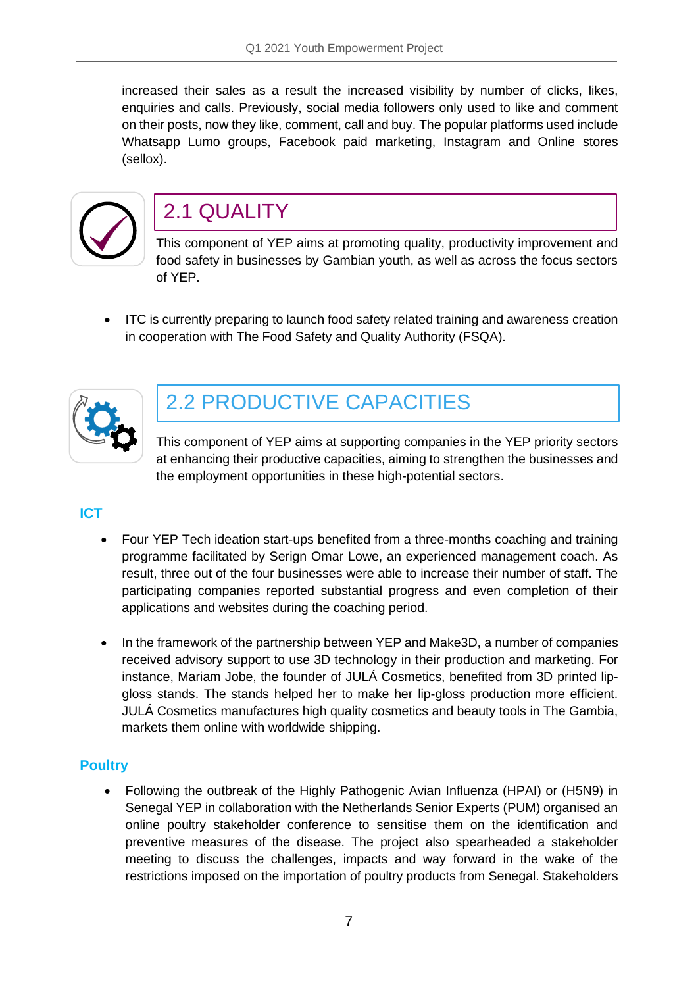increased their sales as a result the increased visibility by number of clicks, likes, enquiries and calls. Previously, social media followers only used to like and comment on their posts, now they like, comment, call and buy. The popular platforms used include Whatsapp Lumo groups, Facebook paid marketing, Instagram and Online stores (sellox).



## 2.1 QUALITY

This component of YEP aims at promoting quality, productivity improvement and food safety in businesses by Gambian youth, as well as across the focus sectors of YEP.

• ITC is currently preparing to launch food safety related training and awareness creation in cooperation with The Food Safety and Quality Authority (FSQA).



# 2.2 PRODUCTIVE CAPACITIES

This component of YEP aims at supporting companies in the YEP priority sectors at enhancing their productive capacities, aiming to strengthen the businesses and the employment opportunities in these high-potential sectors.

### **ICT**

- Four YEP Tech ideation start-ups benefited from a three-months coaching and training programme facilitated by Serign Omar Lowe, an experienced management coach. As result, three out of the four businesses were able to increase their number of staff. The participating companies reported substantial progress and even completion of their applications and websites during the coaching period.
- In the framework of the partnership between YEP and Make3D, a number of companies received advisory support to use 3D technology in their production and marketing. For instance, Mariam Jobe, the founder of JULÁ Cosmetics, benefited from 3D printed lipgloss stands. The stands helped her to make her lip-gloss production more efficient. JULÁ Cosmetics manufactures high quality cosmetics and beauty tools in The Gambia, markets them online with worldwide shipping.

### **Poultry**

• Following the outbreak of the Highly Pathogenic Avian Influenza (HPAI) or (H5N9) in Senegal YEP in collaboration with the Netherlands Senior Experts (PUM) organised an online poultry stakeholder conference to sensitise them on the identification and preventive measures of the disease. The project also spearheaded a stakeholder meeting to discuss the challenges, impacts and way forward in the wake of the restrictions imposed on the importation of poultry products from Senegal. Stakeholders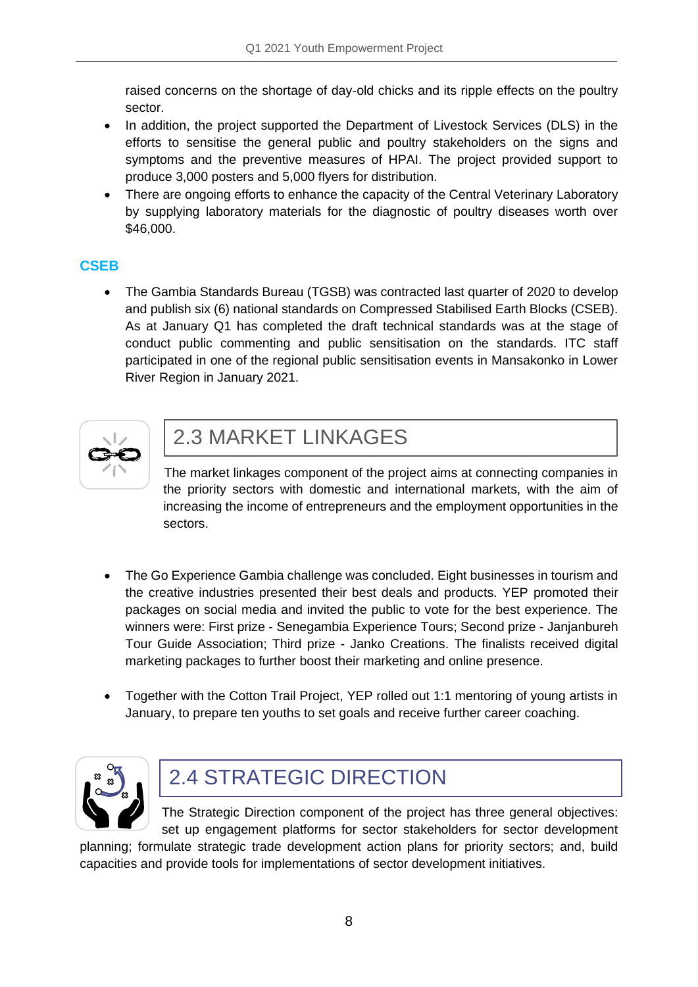raised concerns on the shortage of day-old chicks and its ripple effects on the poultry sector.

- In addition, the project supported the Department of Livestock Services (DLS) in the efforts to sensitise the general public and poultry stakeholders on the signs and symptoms and the preventive measures of HPAI. The project provided support to produce 3,000 posters and 5,000 flyers for distribution.
- There are ongoing efforts to enhance the capacity of the Central Veterinary Laboratory by supplying laboratory materials for the diagnostic of poultry diseases worth over \$46,000.

### **CSEB**

• The Gambia Standards Bureau (TGSB) was contracted last quarter of 2020 to develop and publish six (6) national standards on Compressed Stabilised Earth Blocks (CSEB). As at January Q1 has completed the draft technical standards was at the stage of conduct public commenting and public sensitisation on the standards. ITC staff participated in one of the regional public sensitisation events in Mansakonko in Lower River Region in January 2021.



## 2.3 MARKET LINKAGES

The market linkages component of the project aims at connecting companies in the priority sectors with domestic and international markets, with the aim of increasing the income of entrepreneurs and the employment opportunities in the sectors.

- The Go Experience Gambia challenge was concluded. Eight businesses in tourism and the creative industries presented their best deals and products. YEP promoted their packages on social media and invited the public to vote for the best experience. The winners were: First prize - Senegambia Experience Tours; Second prize - Janjanbureh Tour Guide Association; Third prize - Janko Creations. The finalists received digital marketing packages to further boost their marketing and online presence.
- Together with the Cotton Trail Project, YEP rolled out 1:1 mentoring of young artists in January, to prepare ten youths to set goals and receive further career coaching.



# 2.4 STRATEGIC DIRECTION

The Strategic Direction component of the project has three general objectives: set up engagement platforms for sector stakeholders for sector development

planning; formulate strategic trade development action plans for priority sectors; and, build capacities and provide tools for implementations of sector development initiatives.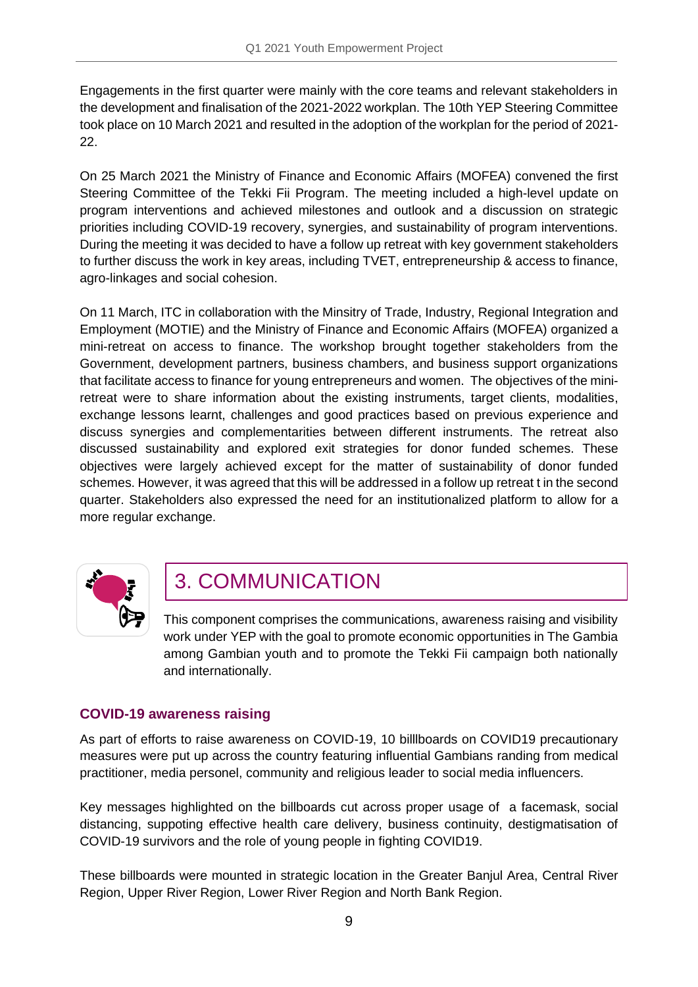Engagements in the first quarter were mainly with the core teams and relevant stakeholders in the development and finalisation of the 2021-2022 workplan. The 10th YEP Steering Committee took place on 10 March 2021 and resulted in the adoption of the workplan for the period of 2021- 22.

On 25 March 2021 the Ministry of Finance and Economic Affairs (MOFEA) convened the first Steering Committee of the Tekki Fii Program. The meeting included a high-level update on program interventions and achieved milestones and outlook and a discussion on strategic priorities including COVID-19 recovery, synergies, and sustainability of program interventions. During the meeting it was decided to have a follow up retreat with key government stakeholders to further discuss the work in key areas, including TVET, entrepreneurship & access to finance, agro-linkages and social cohesion.

On 11 March, ITC in collaboration with the Minsitry of Trade, Industry, Regional Integration and Employment (MOTIE) and the Ministry of Finance and Economic Affairs (MOFEA) organized a mini-retreat on access to finance. The workshop brought together stakeholders from the Government, development partners, business chambers, and business support organizations that facilitate access to finance for young entrepreneurs and women. The objectives of the miniretreat were to share information about the existing instruments, target clients, modalities, exchange lessons learnt, challenges and good practices based on previous experience and discuss synergies and complementarities between different instruments. The retreat also discussed sustainability and explored exit strategies for donor funded schemes. These objectives were largely achieved except for the matter of sustainability of donor funded schemes. However, it was agreed that this will be addressed in a follow up retreat t in the second quarter. Stakeholders also expressed the need for an institutionalized platform to allow for a more regular exchange.



# 3. COMMUNICATION

This component comprises the communications, awareness raising and visibility work under YEP with the goal to promote economic opportunities in The Gambia among Gambian youth and to promote the Tekki Fii campaign both nationally and internationally.

### **COVID-19 awareness raising**

As part of efforts to raise awareness on COVID-19, 10 billlboards on COVID19 precautionary measures were put up across the country featuring influential Gambians randing from medical practitioner, media personel, community and religious leader to social media influencers.

Key messages highlighted on the billboards cut across proper usage of a facemask, social distancing, suppoting effective health care delivery, business continuity, destigmatisation of COVID-19 survivors and the role of young people in fighting COVID19.

These billboards were mounted in strategic location in the Greater Banjul Area, Central River Region, Upper River Region, Lower River Region and North Bank Region.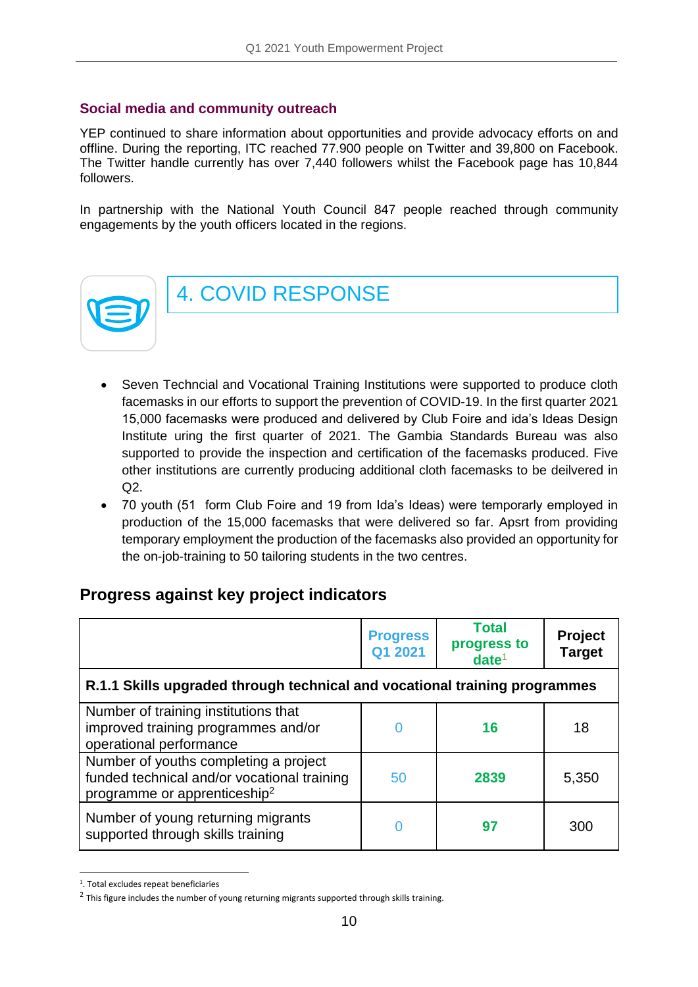#### **Social media and community outreach**

YEP continued to share information about opportunities and provide advocacy efforts on and offline. During the reporting, ITC reached 77.900 people on Twitter and 39,800 on Facebook. The Twitter handle currently has over 7,440 followers whilst the Facebook page has 10,844 followers.

In partnership with the National Youth Council 847 people reached through community engagements by the youth officers located in the regions.



4. COVID RESPONSE

- Seven Techncial and Vocational Training Institutions were supported to produce cloth facemasks in our efforts to support the prevention of COVID-19. In the first quarter 2021 15,000 facemasks were produced and delivered by Club Foire and ida's Ideas Design Institute uring the first quarter of 2021. The Gambia Standards Bureau was also supported to provide the inspection and certification of the facemasks produced. Five other institutions are currently producing additional cloth facemasks to be deilvered in  $Q2$ .
- 70 youth (51 form Club Foire and 19 from Ida's Ideas) were temporarly employed in production of the 15,000 facemasks that were delivered so far. Apsrt from providing temporary employment the production of the facemasks also provided an opportunity for the on-job-training to 50 tailoring students in the two centres.

### **Progress against key project indicators**

|                                                                                                                                  | <b>Progress</b><br>Q1 2021 | <b>Total</b><br>progress to<br>date <sup>1</sup> | <b>Project</b><br><b>Target</b> |  |
|----------------------------------------------------------------------------------------------------------------------------------|----------------------------|--------------------------------------------------|---------------------------------|--|
| R.1.1 Skills upgraded through technical and vocational training programmes                                                       |                            |                                                  |                                 |  |
| Number of training institutions that<br>improved training programmes and/or<br>operational performance                           | 0                          | 16                                               | 18                              |  |
| Number of youths completing a project<br>funded technical and/or vocational training<br>programme or apprenticeship <sup>2</sup> | 50                         | 2839                                             | 5,350                           |  |
| Number of young returning migrants<br>supported through skills training                                                          | O                          | 97                                               | 300                             |  |

<sup>1</sup> . Total excludes repeat beneficiaries

 $^2$  This figure includes the number of young returning migrants supported through skills training.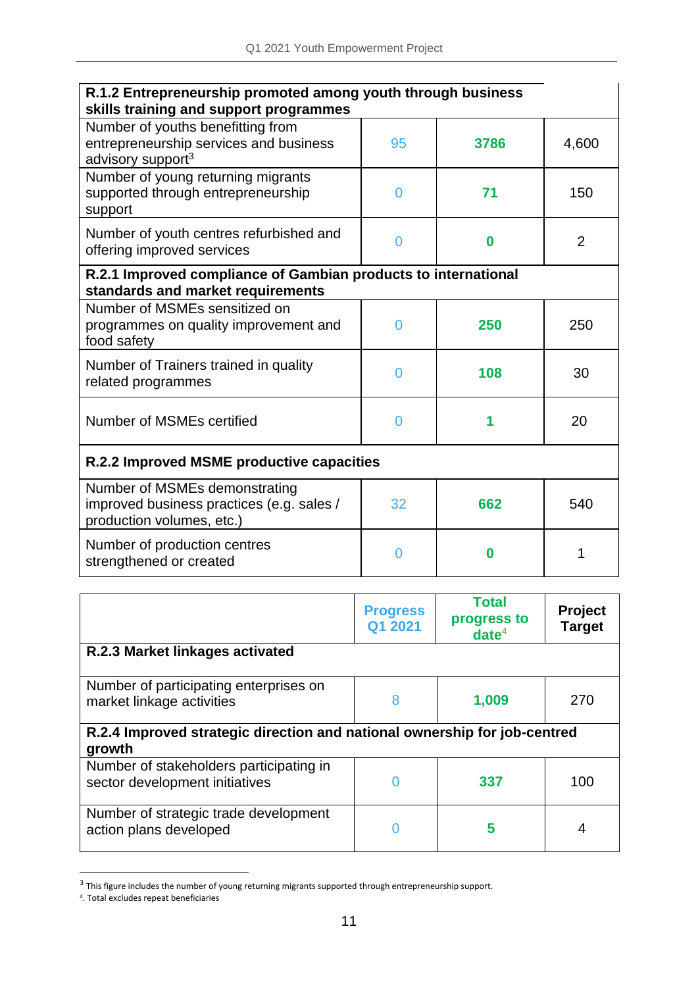| R.1.2 Entrepreneurship promoted among youth through business<br>skills training and support programmes       |    |      |                |  |
|--------------------------------------------------------------------------------------------------------------|----|------|----------------|--|
| Number of youths benefitting from<br>entrepreneurship services and business<br>advisory support <sup>3</sup> | 95 | 3786 | 4,600          |  |
| Number of young returning migrants<br>supported through entrepreneurship<br>support                          | 0  | 71   | 150            |  |
| Number of youth centres refurbished and<br>offering improved services                                        | 0  | 0    | $\overline{2}$ |  |
| R.2.1 Improved compliance of Gambian products to international<br>standards and market requirements          |    |      |                |  |
| Number of MSMEs sensitized on<br>programmes on quality improvement and<br>food safety                        | 0  | 250  | 250            |  |
| Number of Trainers trained in quality<br>related programmes                                                  | 0  | 108  | 30             |  |
| Number of MSMEs certified                                                                                    | 0  |      | 20             |  |
| R.2.2 Improved MSME productive capacities                                                                    |    |      |                |  |
| Number of MSMEs demonstrating<br>improved business practices (e.g. sales /<br>production volumes, etc.)      | 32 | 662  | 540            |  |
| Number of production centres<br>strengthened or created                                                      | 0  | Ω    | 1              |  |

|                                                                                     | <b>Progress</b><br>Q1 2021 | <b>Total</b><br>progress to<br>date <sup>4</sup> | <b>Project</b><br><b>Target</b> |  |
|-------------------------------------------------------------------------------------|----------------------------|--------------------------------------------------|---------------------------------|--|
| R.2.3 Market linkages activated                                                     |                            |                                                  |                                 |  |
| Number of participating enterprises on<br>market linkage activities                 | 8                          | 1,009                                            | 270                             |  |
| R.2.4 Improved strategic direction and national ownership for job-centred<br>growth |                            |                                                  |                                 |  |
| Number of stakeholders participating in<br>sector development initiatives           |                            | 337                                              | 100                             |  |
| Number of strategic trade development<br>action plans developed                     |                            | 5                                                |                                 |  |

<sup>&</sup>lt;sup>3</sup> This figure includes the number of young returning migrants supported through entrepreneurship support.

<sup>4</sup> . Total excludes repeat beneficiaries